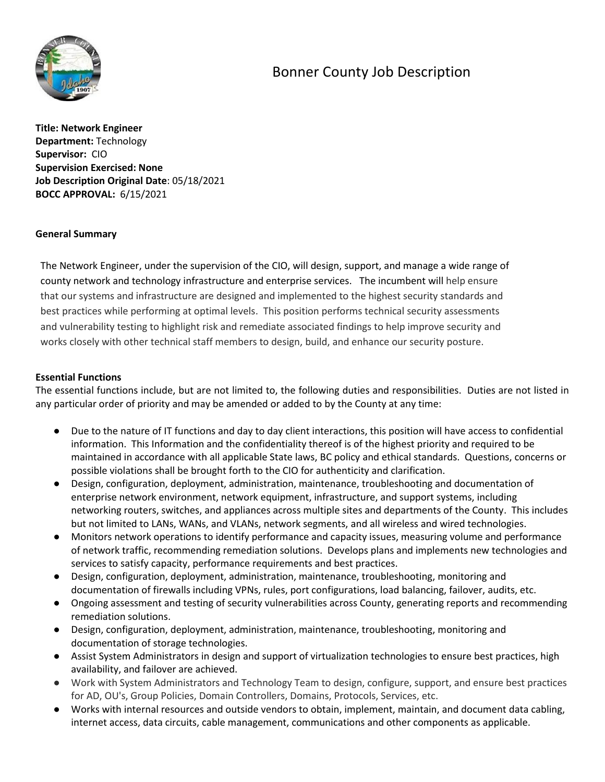# Bonner County Job Description



**Title: Network Engineer Department:** Technology **Supervisor:** CIO **Supervision Exercised: None Job Description Original Date**: 05/18/2021 **BOCC APPROVAL:** 6/15/2021

## **General Summary**

The Network Engineer, under the supervision of the CIO, will design, support, and manage a wide range of county network and technology infrastructure and enterprise services. The incumbent will help ensure that our systems and infrastructure are designed and implemented to the highest security standards and best practices while performing at optimal levels. This position performs technical security assessments and vulnerability testing to highlight risk and remediate associated findings to help improve security and works closely with other technical staff members to design, build, and enhance our security posture.

#### **Essential Functions**

The essential functions include, but are not limited to, the following duties and responsibilities. Duties are not listed in any particular order of priority and may be amended or added to by the County at any time:

- Due to the nature of IT functions and day to day client interactions, this position will have access to confidential information. This Information and the confidentiality thereof is of the highest priority and required to be maintained in accordance with all applicable State laws, BC policy and ethical standards. Questions, concerns or possible violations shall be brought forth to the CIO for authenticity and clarification.
- Design, configuration, deployment, administration, maintenance, troubleshooting and documentation of enterprise network environment, network equipment, infrastructure, and support systems, including networking routers, switches, and appliances across multiple sites and departments of the County. This includes but not limited to LANs, WANs, and VLANs, network segments, and all wireless and wired technologies.
- Monitors network operations to identify performance and capacity issues, measuring volume and performance of network traffic, recommending remediation solutions. Develops plans and implements new technologies and services to satisfy capacity, performance requirements and best practices.
- Design, configuration, deployment, administration, maintenance, troubleshooting, monitoring and documentation of firewalls including VPNs, rules, port configurations, load balancing, failover, audits, etc.
- Ongoing assessment and testing of security vulnerabilities across County, generating reports and recommending remediation solutions.
- Design, configuration, deployment, administration, maintenance, troubleshooting, monitoring and documentation of storage technologies.
- Assist System Administrators in design and support of virtualization technologies to ensure best practices, high availability, and failover are achieved.
- Work with System Administrators and Technology Team to design, configure, support, and ensure best practices for AD, OU's, Group Policies, Domain Controllers, Domains, Protocols, Services, etc.
- Works with internal resources and outside vendors to obtain, implement, maintain, and document data cabling, internet access, data circuits, cable management, communications and other components as applicable.